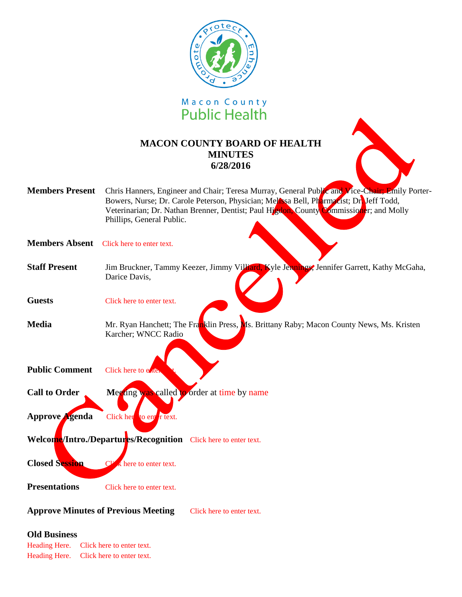



# **MACON COUNTY BOARD OF HEALTH MINUTES 6/28/2016**

|                        | <b>UNIL LICAILLI</b>                                                                                                                                                                                                                                                                                         |
|------------------------|--------------------------------------------------------------------------------------------------------------------------------------------------------------------------------------------------------------------------------------------------------------------------------------------------------------|
|                        | <b>MACON COUNTY BOARD OF HEALTH</b><br><b>MINUTES</b><br>6/28/2016                                                                                                                                                                                                                                           |
| <b>Members Present</b> | Chris Hanners, Engineer and Chair; Teresa Murray, General Public and Vice-Chair; Emily Porter-<br>Bowers, Nurse; Dr. Carole Peterson, Physician; Melosa Bell, Pharmacist; Dreff Todd,<br>Veterinarian; Dr. Nathan Brenner, Dentist; Paul Higdon, County Commissioner; and Molly<br>Phillips, General Public. |
| <b>Members Absent</b>  | Click here to enter text.                                                                                                                                                                                                                                                                                    |
| <b>Staff Present</b>   | Jim Bruckner, Tammy Keezer, Jimmy Villiard, Kyle Jennings, Jennifer Garrett, Kathy McGaha,<br>Darice Davis,                                                                                                                                                                                                  |
| <b>Guests</b>          | Click here to enter text.                                                                                                                                                                                                                                                                                    |
| <b>Media</b>           | Mr. Ryan Hanchett; The Franklin Press, Ms. Brittany Raby; Macon County News, Ms. Kristen<br>Karcher; WNCC Radio                                                                                                                                                                                              |
| <b>Public Comment</b>  | Click here to eater                                                                                                                                                                                                                                                                                          |
| <b>Call to Order</b>   | Meeting was called to order at time by name                                                                                                                                                                                                                                                                  |
| Approve Agenda         | Click her to ent $r$ text.                                                                                                                                                                                                                                                                                   |
|                        | Welcome/Intro./Departures/Recognition Click here to enter text.                                                                                                                                                                                                                                              |
| <b>Closed Session</b>  | k here to enter text.                                                                                                                                                                                                                                                                                        |
| <b>Presentations</b>   | Click here to enter text.                                                                                                                                                                                                                                                                                    |

### **Approve Minutes of Previous Meeting** Click here to enter text.

#### **Old Business**

Heading Here. Click here to enter text. Heading Here. Click here to enter text.